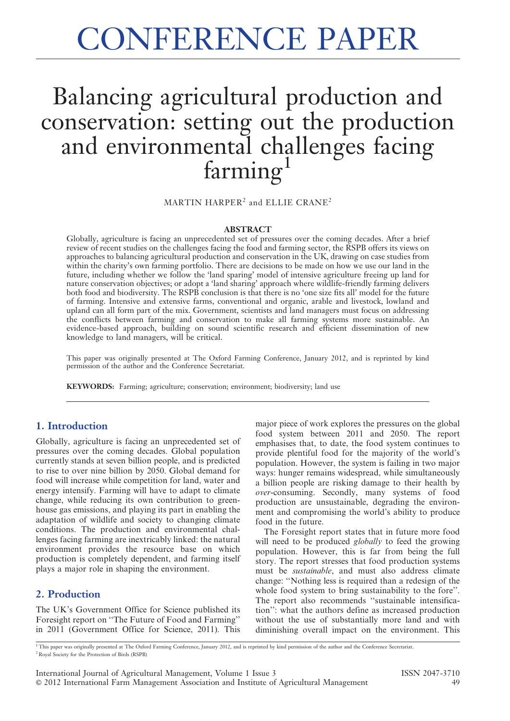# CONFERENCE PAPER

## Balancing agricultural production and conservation: setting out the production and environmental challenges facing farming<sup>1</sup>

MARTIN HARPER<sup>2</sup> and ELLIE CRANE<sup>2</sup>

#### **ABSTRACT**

Globally, agriculture is facing an unprecedented set of pressures over the coming decades. After a brief review of recent studies on the challenges facing the food and farming sector, the RSPB offers its views on approaches to balancing agricultural production and conservation in the UK, drawing on case studies from within the charity's own farming portfolio. There are decisions to be made on how we use our land in the future, including whether we follow the 'land sparing' model of intensive agriculture freeing up land for nature conservation objectives; or adopt a 'land sharing' approach where wildlife-friendly farming delivers both food and biodiversity. The RSPB conclusion is that there is no 'one size fits all' model for the future of farming. Intensive and extensive farms, conventional and organic, arable and livestock, lowland and upland can all form part of the mix. Government, scientists and land managers must focus on addressing the conflicts between farming and conservation to make all farming systems more sustainable. An evidence-based approach, building on sound scientific research and efficient dissemination of new knowledge to land managers, will be critical.

This paper was originally presented at The Oxford Farming Conference, January 2012, and is reprinted by kind permission of the author and the Conference Secretariat.

KEYWORDS: Farming; agriculture; conservation; environment; biodiversity; land use

#### 1. Introduction

Globally, agriculture is facing an unprecedented set of pressures over the coming decades. Global population currently stands at seven billion people, and is predicted to rise to over nine billion by 2050. Global demand for food will increase while competition for land, water and energy intensify. Farming will have to adapt to climate change, while reducing its own contribution to greenhouse gas emissions, and playing its part in enabling the adaptation of wildlife and society to changing climate conditions. The production and environmental challenges facing farming are inextricably linked: the natural environment provides the resource base on which production is completely dependent, and farming itself plays a major role in shaping the environment.

#### 2. Production

The UK's Government Office for Science published its Foresight report on ''The Future of Food and Farming'' in 2011 (Government Office for Science, 2011). This major piece of work explores the pressures on the global food system between 2011 and 2050. The report emphasises that, to date, the food system continues to provide plentiful food for the majority of the world's population. However, the system is failing in two major ways: hunger remains widespread, while simultaneously a billion people are risking damage to their health by over-consuming. Secondly, many systems of food production are unsustainable, degrading the environment and compromising the world's ability to produce food in the future.

The Foresight report states that in future more food will need to be produced *globally* to feed the growing population. However, this is far from being the full story. The report stresses that food production systems must be sustainable, and must also address climate change: ''Nothing less is required than a redesign of the whole food system to bring sustainability to the fore''. The report also recommends ''sustainable intensification'': what the authors define as increased production without the use of substantially more land and with diminishing overall impact on the environment. This

<sup>1</sup> This paper was originally presented at The Oxford Farming Conference, January 2012, and is reprinted by kind permission of the author and the Conference Secretariat. <sup>2</sup> Royal Society for the Protection of Birds (RSPB)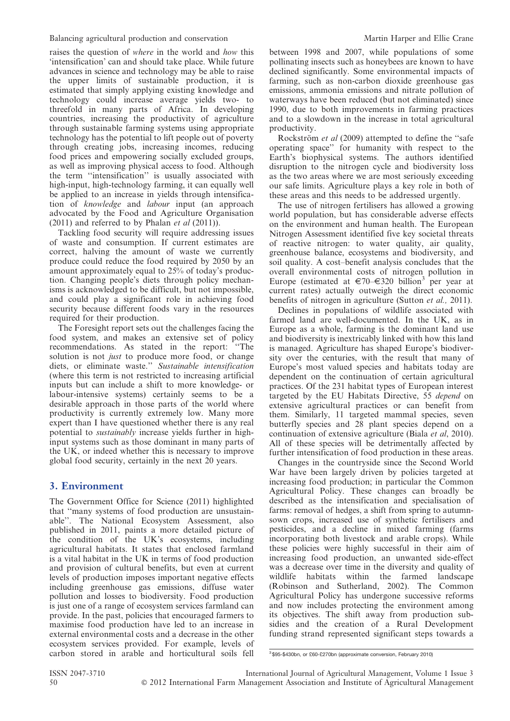raises the question of where in the world and how this 'intensification' can and should take place. While future advances in science and technology may be able to raise the upper limits of sustainable production, it is estimated that simply applying existing knowledge and technology could increase average yields two- to threefold in many parts of Africa. In developing countries, increasing the productivity of agriculture through sustainable farming systems using appropriate technology has the potential to lift people out of poverty through creating jobs, increasing incomes, reducing food prices and empowering socially excluded groups, as well as improving physical access to food. Although the term ''intensification'' is usually associated with high-input, high-technology farming, it can equally well be applied to an increase in yields through intensification of knowledge and labour input (an approach advocated by the Food and Agriculture Organisation  $(2011)$  and referred to by Phalan *et al*  $(2011)$ ).

Tackling food security will require addressing issues of waste and consumption. If current estimates are correct, halving the amount of waste we currently produce could reduce the food required by 2050 by an amount approximately equal to 25% of today's production. Changing people's diets through policy mechanisms is acknowledged to be difficult, but not impossible, and could play a significant role in achieving food security because different foods vary in the resources required for their production.

The Foresight report sets out the challenges facing the food system, and makes an extensive set of policy recommendations. As stated in the report: ''The solution is not *just* to produce more food, or change diets, or eliminate waste.'' Sustainable intensification (where this term is not restricted to increasing artificial inputs but can include a shift to more knowledge- or labour-intensive systems) certainly seems to be a desirable approach in those parts of the world where productivity is currently extremely low. Many more expert than I have questioned whether there is any real potential to sustainably increase yields further in highinput systems such as those dominant in many parts of the UK, or indeed whether this is necessary to improve global food security, certainly in the next 20 years.

#### 3. Environment

The Government Office for Science (2011) highlighted that ''many systems of food production are unsustainable''. The National Ecosystem Assessment, also published in 2011, paints a more detailed picture of the condition of the UK's ecosystems, including agricultural habitats. It states that enclosed farmland is a vital habitat in the UK in terms of food production and provision of cultural benefits, but even at current levels of production imposes important negative effects including greenhouse gas emissions, diffuse water pollution and losses to biodiversity. Food production is just one of a range of ecosystem services farmland can provide. In the past, policies that encouraged farmers to maximise food production have led to an increase in external environmental costs and a decrease in the other ecosystem services provided. For example, levels of carbon stored in arable and horticultural soils fell between 1998 and 2007, while populations of some pollinating insects such as honeybees are known to have declined significantly. Some environmental impacts of farming, such as non-carbon dioxide greenhouse gas emissions, ammonia emissions and nitrate pollution of waterways have been reduced (but not eliminated) since 1990, due to both improvements in farming practices and to a slowdown in the increase in total agricultural productivity.

Rockström et al (2009) attempted to define the "safe operating space'' for humanity with respect to the Earth's biophysical systems. The authors identified disruption to the nitrogen cycle and biodiversity loss as the two areas where we are most seriously exceeding our safe limits. Agriculture plays a key role in both of these areas and this needs to be addressed urgently.

The use of nitrogen fertilisers has allowed a growing world population, but has considerable adverse effects on the environment and human health. The European Nitrogen Assessment identified five key societal threats of reactive nitrogen: to water quality, air quality, greenhouse balance, ecosystems and biodiversity, and soil quality. A cost–benefit analysis concludes that the overall environmental costs of nitrogen pollution in Europe (estimated at  $\in 70$ – $\in$ 320 billion<sup>3</sup> per year at current rates) actually outweigh the direct economic benefits of nitrogen in agriculture (Sutton et al., 2011).

Declines in populations of wildlife associated with farmed land are well-documented. In the UK, as in Europe as a whole, farming is the dominant land use and biodiversity is inextricably linked with how this land is managed. Agriculture has shaped Europe's biodiversity over the centuries, with the result that many of Europe's most valued species and habitats today are dependent on the continuation of certain agricultural practices. Of the 231 habitat types of European interest targeted by the EU Habitats Directive, 55 depend on extensive agricultural practices or can benefit from them. Similarly, 11 targeted mammal species, seven butterfly species and 28 plant species depend on a continuation of extensive agriculture (Biala et al, 2010). All of these species will be detrimentally affected by further intensification of food production in these areas.

Changes in the countryside since the Second World War have been largely driven by policies targeted at increasing food production; in particular the Common Agricultural Policy. These changes can broadly be described as the intensification and specialisation of farms: removal of hedges, a shift from spring to autumnsown crops, increased use of synthetic fertilisers and pesticides, and a decline in mixed farming (farms incorporating both livestock and arable crops). While these policies were highly successful in their aim of increasing food production, an unwanted side-effect was a decrease over time in the diversity and quality of wildlife habitats within the farmed landscape (Robinson and Sutherland, 2002). The Common Agricultural Policy has undergone successive reforms and now includes protecting the environment among its objectives. The shift away from production subsidies and the creation of a Rural Development funding strand represented significant steps towards a

<sup>3</sup> \$95-\$430bn, or £60-£270bn (approximate conversion, February 2010)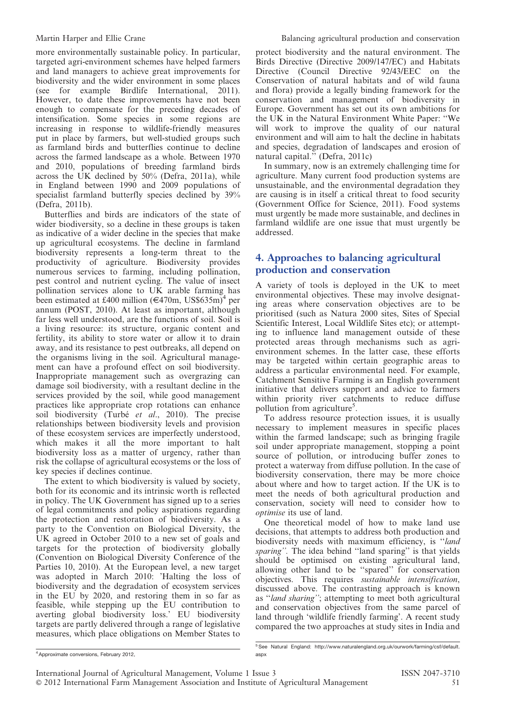more environmentally sustainable policy. In particular, targeted agri-environment schemes have helped farmers and land managers to achieve great improvements for biodiversity and the wider environment in some places (see for example Birdlife International, 2011). However, to date these improvements have not been enough to compensate for the preceding decades of intensification. Some species in some regions are increasing in response to wildlife-friendly measures put in place by farmers, but well-studied groups such as farmland birds and butterflies continue to decline across the farmed landscape as a whole. Between 1970 and 2010, populations of breeding farmland birds across the UK declined by  $50\%$  (Defra, 2011a), while in England between 1990 and 2009 populations of specialist farmland butterfly species declined by 39% (Defra, 2011b).

Butterflies and birds are indicators of the state of wider biodiversity, so a decline in these groups is taken as indicative of a wider decline in the species that make up agricultural ecosystems. The decline in farmland biodiversity represents a long-term threat to the productivity of agriculture. Biodiversity provides numerous services to farming, including pollination, pest control and nutrient cycling. The value of insect pollination services alone to UK arable farming has been estimated at £400 million ( $\in$ 470m, US\$635m)<sup>4</sup> per annum (POST, 2010). At least as important, although far less well understood, are the functions of soil. Soil is a living resource: its structure, organic content and fertility, its ability to store water or allow it to drain away, and its resistance to pest outbreaks, all depend on the organisms living in the soil. Agricultural management can have a profound effect on soil biodiversity. Inappropriate management such as overgrazing can damage soil biodiversity, with a resultant decline in the services provided by the soil, while good management practices like appropriate crop rotations can enhance soil biodiversity (Turbé et al., 2010). The precise relationships between biodiversity levels and provision of these ecosystem services are imperfectly understood, which makes it all the more important to halt biodiversity loss as a matter of urgency, rather than risk the collapse of agricultural ecosystems or the loss of key species if declines continue.

The extent to which biodiversity is valued by society, both for its economic and its intrinsic worth is reflected in policy. The UK Government has signed up to a series of legal commitments and policy aspirations regarding the protection and restoration of biodiversity. As a party to the Convention on Biological Diversity, the UK agreed in October 2010 to a new set of goals and targets for the protection of biodiversity globally (Convention on Biological Diversity Conference of the Parties 10, 2010). At the European level, a new target was adopted in March 2010: 'Halting the loss of biodiversity and the degradation of ecosystem services in the EU by 2020, and restoring them in so far as feasible, while stepping up the EU contribution to averting global biodiversity loss.' EU biodiversity targets are partly delivered through a range of legislative measures, which place obligations on Member States to protect biodiversity and the natural environment. The Birds Directive (Directive 2009/147/EC) and Habitats Directive (Council Directive 92/43/EEC on the Conservation of natural habitats and of wild fauna and flora) provide a legally binding framework for the conservation and management of biodiversity in Europe. Government has set out its own ambitions for the UK in the Natural Environment White Paper: ''We will work to improve the quality of our natural environment and will aim to halt the decline in habitats and species, degradation of landscapes and erosion of natural capital.'' (Defra, 2011c)

In summary, now is an extremely challenging time for agriculture. Many current food production systems are unsustainable, and the environmental degradation they are causing is in itself a critical threat to food security (Government Office for Science, 2011). Food systems must urgently be made more sustainable, and declines in farmland wildlife are one issue that must urgently be addressed.

### 4. Approaches to balancing agricultural production and conservation

A variety of tools is deployed in the UK to meet environmental objectives. These may involve designating areas where conservation objectives are to be prioritised (such as Natura 2000 sites, Sites of Special Scientific Interest, Local Wildlife Sites etc); or attempting to influence land management outside of these protected areas through mechanisms such as agrienvironment schemes. In the latter case, these efforts may be targeted within certain geographic areas to address a particular environmental need. For example, Catchment Sensitive Farming is an English government initiative that delivers support and advice to farmers within priority river catchments to reduce diffuse pollution from agriculture<sup>5</sup>.

To address resource protection issues, it is usually necessary to implement measures in specific places within the farmed landscape; such as bringing fragile soil under appropriate management, stopping a point source of pollution, or introducing buffer zones to protect a waterway from diffuse pollution. In the case of biodiversity conservation, there may be more choice about where and how to target action. If the UK is to meet the needs of both agricultural production and conservation, society will need to consider how to optimise its use of land.

One theoretical model of how to make land use decisions, that attempts to address both production and biodiversity needs with maximum efficiency, is ''land sparing". The idea behind "land sparing" is that yields should be optimised on existing agricultural land, allowing other land to be ''spared'' for conservation objectives. This requires sustainable intensification, discussed above. The contrasting approach is known as ''land sharing''; attempting to meet both agricultural and conservation objectives from the same parcel of land through 'wildlife friendly farming'. A recent study compared the two approaches at study sites in India and

<sup>4</sup>Approximate conversions, February 2012,

<sup>5</sup> See Natural England: http://www.naturalengland.org.uk/ourwork/farming/csf/default. aspx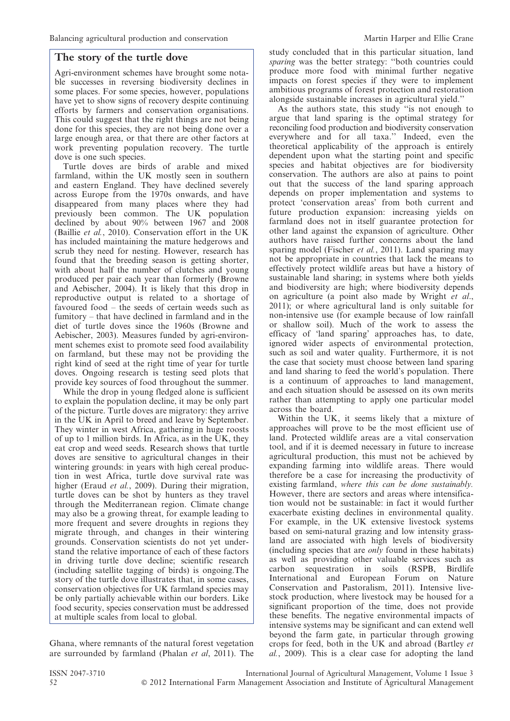#### The story of the turtle dove

Agri-environment schemes have brought some notable successes in reversing biodiversity declines in some places. For some species, however, populations have yet to show signs of recovery despite continuing efforts by farmers and conservation organisations. This could suggest that the right things are not being done for this species, they are not being done over a large enough area, or that there are other factors at work preventing population recovery. The turtle dove is one such species.

Turtle doves are birds of arable and mixed farmland, within the UK mostly seen in southern and eastern England. They have declined severely across Europe from the 1970s onwards, and have disappeared from many places where they had previously been common. The UK population declined by about 90% between 1967 and 2008 (Baillie et al., 2010). Conservation effort in the UK has included maintaining the mature hedgerows and scrub they need for nesting. However, research has found that the breeding season is getting shorter, with about half the number of clutches and young produced per pair each year than formerly (Browne and Aebischer, 2004). It is likely that this drop in reproductive output is related to a shortage of favoured food – the seeds of certain weeds such as fumitory – that have declined in farmland and in the diet of turtle doves since the 1960s (Browne and Aebischer, 2003). Measures funded by agri-environment schemes exist to promote seed food availability on farmland, but these may not be providing the right kind of seed at the right time of year for turtle doves. Ongoing research is testing seed plots that provide key sources of food throughout the summer.

While the drop in young fledged alone is sufficient to explain the population decline, it may be only part of the picture. Turtle doves are migratory: they arrive in the UK in April to breed and leave by September. They winter in west Africa, gathering in huge roosts of up to 1 million birds. In Africa, as in the  $\tilde{U}K$ , they eat crop and weed seeds. Research shows that turtle doves are sensitive to agricultural changes in their wintering grounds: in years with high cereal production in west Africa, turtle dove survival rate was higher (Eraud et al., 2009). During their migration, turtle doves can be shot by hunters as they travel through the Mediterranean region. Climate change may also be a growing threat, for example leading to more frequent and severe droughts in regions they migrate through, and changes in their wintering grounds. Conservation scientists do not yet understand the relative importance of each of these factors in driving turtle dove decline; scientific research (including satellite tagging of birds) is ongoing.The story of the turtle dove illustrates that, in some cases, conservation objectives for UK farmland species may be only partially achievable within our borders. Like food security, species conservation must be addressed at multiple scales from local to global.

Ghana, where remnants of the natural forest vegetation are surrounded by farmland (Phalan et al, 2011). The study concluded that in this particular situation, land sparing was the better strategy: "both countries could produce more food with minimal further negative impacts on forest species if they were to implement ambitious programs of forest protection and restoration alongside sustainable increases in agricultural yield.''

As the authors state, this study ''is not enough to argue that land sparing is the optimal strategy for reconciling food production and biodiversity conservation everywhere and for all taxa.'' Indeed, even the theoretical applicability of the approach is entirely dependent upon what the starting point and specific species and habitat objectives are for biodiversity conservation. The authors are also at pains to point out that the success of the land sparing approach depends on proper implementation and systems to protect 'conservation areas' from both current and future production expansion: increasing yields on farmland does not in itself guarantee protection for other land against the expansion of agriculture. Other authors have raised further concerns about the land sparing model (Fischer *et al.*, 2011). Land sparing may not be appropriate in countries that lack the means to effectively protect wildlife areas but have a history of sustainable land sharing; in systems where both yields and biodiversity are high; where biodiversity depends on agriculture (a point also made by Wright et al., 2011); or where agricultural land is only suitable for non-intensive use (for example because of low rainfall or shallow soil). Much of the work to assess the efficacy of 'land sparing' approaches has, to date, ignored wider aspects of environmental protection, such as soil and water quality. Furthermore, it is not the case that society must choose between land sparing and land sharing to feed the world's population. There is a continuum of approaches to land management, and each situation should be assessed on its own merits rather than attempting to apply one particular model across the board.

Within the UK, it seems likely that a mixture of approaches will prove to be the most efficient use of land. Protected wildlife areas are a vital conservation tool, and if it is deemed necessary in future to increase agricultural production, this must not be achieved by expanding farming into wildlife areas. There would therefore be a case for increasing the productivity of existing farmland, where this can be done sustainably. However, there are sectors and areas where intensification would not be sustainable: in fact it would further exacerbate existing declines in environmental quality. For example, in the UK extensive livestock systems based on semi-natural grazing and low intensity grassland are associated with high levels of biodiversity (including species that are only found in these habitats) as well as providing other valuable services such as carbon sequestration in soils (RSPB, Birdlife International and European Forum on Nature Conservation and Pastoralism, 2011). Intensive livestock production, where livestock may be housed for a significant proportion of the time, does not provide these benefits. The negative environmental impacts of intensive systems may be significant and can extend well beyond the farm gate, in particular through growing crops for feed, both in the UK and abroad (Bartley et al., 2009). This is a clear case for adopting the land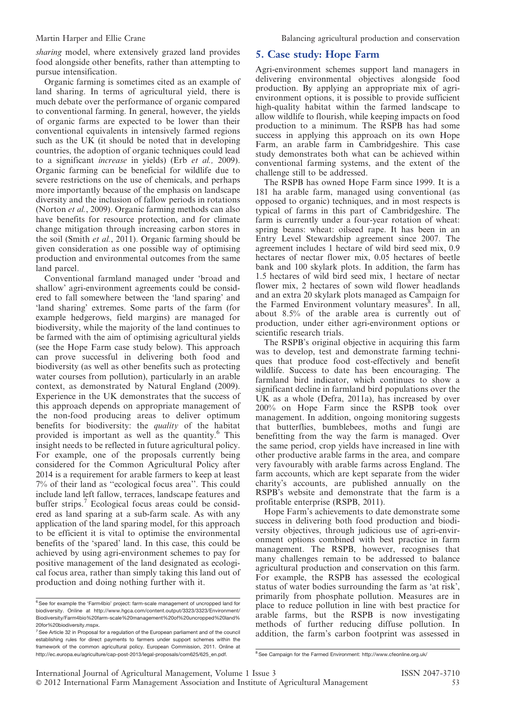Martin Harper and Ellie Crane **Balancing agricultural production and conservation** 

sharing model, where extensively grazed land provides food alongside other benefits, rather than attempting to pursue intensification.

Organic farming is sometimes cited as an example of land sharing. In terms of agricultural yield, there is much debate over the performance of organic compared to conventional farming. In general, however, the yields of organic farms are expected to be lower than their conventional equivalents in intensively farmed regions such as the UK (it should be noted that in developing countries, the adoption of organic techniques could lead to a significant increase in yields) (Erb et al., 2009). Organic farming can be beneficial for wildlife due to severe restrictions on the use of chemicals, and perhaps more importantly because of the emphasis on landscape diversity and the inclusion of fallow periods in rotations (Norton et al., 2009). Organic farming methods can also have benefits for resource protection, and for climate change mitigation through increasing carbon stores in the soil (Smith et al., 2011). Organic farming should be given consideration as one possible way of optimising production and environmental outcomes from the same land parcel.

Conventional farmland managed under 'broad and shallow' agri-environment agreements could be considered to fall somewhere between the 'land sparing' and 'land sharing' extremes. Some parts of the farm (for example hedgerows, field margins) are managed for biodiversity, while the majority of the land continues to be farmed with the aim of optimising agricultural yields (see the Hope Farm case study below). This approach can prove successful in delivering both food and biodiversity (as well as other benefits such as protecting water courses from pollution), particularly in an arable context, as demonstrated by Natural England (2009). Experience in the UK demonstrates that the success of this approach depends on appropriate management of the non-food producing areas to deliver optimum benefits for biodiversity: the quality of the habitat provided is important as well as the quantity.<sup>6</sup> This insight needs to be reflected in future agricultural policy. For example, one of the proposals currently being considered for the Common Agricultural Policy after 2014 is a requirement for arable farmers to keep at least 7% of their land as ''ecological focus area''. This could include land left fallow, terraces, landscape features and buffer strips.<sup>7</sup> Ecological focus areas could be considered as land sparing at a sub-farm scale. As with any application of the land sparing model, for this approach to be efficient it is vital to optimise the environmental benefits of the 'spared' land. In this case, this could be achieved by using agri-environment schemes to pay for positive management of the land designated as ecological focus area, rather than simply taking this land out of production and doing nothing further with it.

#### 5. Case study: Hope Farm

Agri-environment schemes support land managers in delivering environmental objectives alongside food production. By applying an appropriate mix of agrienvironment options, it is possible to provide sufficient high-quality habitat within the farmed landscape to allow wildlife to flourish, while keeping impacts on food production to a minimum. The RSPB has had some success in applying this approach on its own Hope Farm, an arable farm in Cambridgeshire. This case study demonstrates both what can be achieved within conventional farming systems, and the extent of the challenge still to be addressed.

The RSPB has owned Hope Farm since 1999. It is a 181 ha arable farm, managed using conventional (as opposed to organic) techniques, and in most respects is typical of farms in this part of Cambridgeshire. The farm is currently under a four-year rotation of wheat: spring beans: wheat: oilseed rape. It has been in an Entry Level Stewardship agreement since 2007. The agreement includes 1 hectare of wild bird seed mix, 0.9 hectares of nectar flower mix, 0.05 hectares of beetle bank and 100 skylark plots. In addition, the farm has 1.5 hectares of wild bird seed mix, 1 hectare of nectar flower mix, 2 hectares of sown wild flower headlands and an extra 20 skylark plots managed as Campaign for the Farmed Environment voluntary measures<sup>8</sup>. In all, about 8.5% of the arable area is currently out of production, under either agri-environment options or scientific research trials.

The RSPB's original objective in acquiring this farm was to develop, test and demonstrate farming techniques that produce food cost-effectively and benefit wildlife. Success to date has been encouraging. The farmland bird indicator, which continues to show a significant decline in farmland bird populations over the UK as a whole (Defra, 2011a), has increased by over 200% on Hope Farm since the RSPB took over management. In addition, ongoing monitoring suggests that butterflies, bumblebees, moths and fungi are benefitting from the way the farm is managed. Over the same period, crop yields have increased in line with other productive arable farms in the area, and compare very favourably with arable farms across England. The farm accounts, which are kept separate from the wider charity's accounts, are published annually on the RSPB's website and demonstrate that the farm is a profitable enterprise (RSPB, 2011).

Hope Farm's achievements to date demonstrate some success in delivering both food production and biodiversity objectives, through judicious use of agri-environment options combined with best practice in farm management. The RSPB, however, recognises that many challenges remain to be addressed to balance agricultural production and conservation on this farm. For example, the RSPB has assessed the ecological status of water bodies surrounding the farm as 'at risk', primarily from phosphate pollution. Measures are in place to reduce pollution in line with best practice for arable farms, but the RSPB is now investigating methods of further reducing diffuse pollution. In addition, the farm's carbon footprint was assessed in

 $6$ See for example the 'Farm4bio' project: farm-scale management of uncropped land for biodiversity. Online at http://www.hgca.com/content.output/3323/3323/Environment/ Biodiversity/Farm4bio%20farm-scale%20management%20of%20uncropped%20land% 20for%20biodiversity.mspx.

<sup>&</sup>lt;sup>7</sup> See Article 32 in Proposal for a regulation of the European parliament and of the council establishing rules for direct payments to farmers under support schemes within the framework of the common agricultural policy. European Commission, 2011. Online at http://ec.europa.eu/agriculture/cap-post-2013/legal-proposals/com625/625\_en.pdf. <sup>8</sup>See Campaign for the Farmed Environment: http://www.cfeonline.org.uk/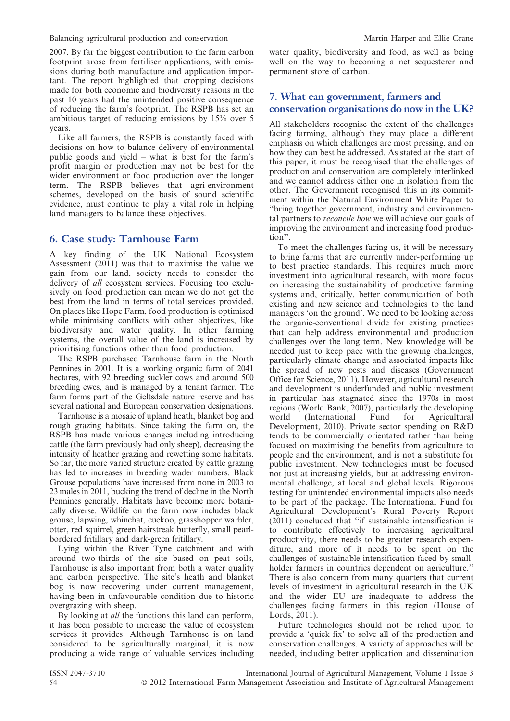Balancing agricultural production and conservation Martin Harper and Ellie Crane

2007. By far the biggest contribution to the farm carbon footprint arose from fertiliser applications, with emissions during both manufacture and application important. The report highlighted that cropping decisions made for both economic and biodiversity reasons in the past 10 years had the unintended positive consequence of reducing the farm's footprint. The RSPB has set an ambitious target of reducing emissions by 15% over 5 years.

Like all farmers, the RSPB is constantly faced with decisions on how to balance delivery of environmental public goods and yield – what is best for the farm's profit margin or production may not be best for the wider environment or food production over the longer term. The RSPB believes that agri-environment schemes, developed on the basis of sound scientific evidence, must continue to play a vital role in helping land managers to balance these objectives.

#### 6. Case study: Tarnhouse Farm

A key finding of the UK National Ecosystem Assessment (2011) was that to maximise the value we gain from our land, society needs to consider the delivery of all ecosystem services. Focusing too exclusively on food production can mean we do not get the best from the land in terms of total services provided. On places like Hope Farm, food production is optimised while minimising conflicts with other objectives, like biodiversity and water quality. In other farming systems, the overall value of the land is increased by prioritising functions other than food production.

The RSPB purchased Tarnhouse farm in the North Pennines in 2001. It is a working organic farm of 2041 hectares, with 92 breeding suckler cows and around 500 breeding ewes, and is managed by a tenant farmer. The farm forms part of the Geltsdale nature reserve and has several national and European conservation designations.

Tarnhouse is a mosaic of upland heath, blanket bog and rough grazing habitats. Since taking the farm on, the RSPB has made various changes including introducing cattle (the farm previously had only sheep), decreasing the intensity of heather grazing and rewetting some habitats. So far, the more varied structure created by cattle grazing has led to increases in breeding wader numbers. Black Grouse populations have increased from none in 2003 to 23 males in 2011, bucking the trend of decline in the North Pennines generally. Habitats have become more botanically diverse. Wildlife on the farm now includes black grouse, lapwing, whinchat, cuckoo, grasshopper warbler, otter, red squirrel, green hairstreak butterfly, small pearlbordered fritillary and dark-green fritillary.

Lying within the River Tyne catchment and with around two-thirds of the site based on peat soils, Tarnhouse is also important from both a water quality and carbon perspective. The site's heath and blanket bog is now recovering under current management, having been in unfavourable condition due to historic overgrazing with sheep.

By looking at *all* the functions this land can perform, it has been possible to increase the value of ecosystem services it provides. Although Tarnhouse is on land considered to be agriculturally marginal, it is now producing a wide range of valuable services including water quality, biodiversity and food, as well as being well on the way to becoming a net sequesterer and permanent store of carbon.

#### 7. What can government, farmers and conservation organisations do now in the UK?

All stakeholders recognise the extent of the challenges facing farming, although they may place a different emphasis on which challenges are most pressing, and on how they can best be addressed. As stated at the start of this paper, it must be recognised that the challenges of production and conservation are completely interlinked and we cannot address either one in isolation from the other. The Government recognised this in its commitment within the Natural Environment White Paper to ''bring together government, industry and environmental partners to reconcile how we will achieve our goals of improving the environment and increasing food production''.

To meet the challenges facing us, it will be necessary to bring farms that are currently under-performing up to best practice standards. This requires much more investment into agricultural research, with more focus on increasing the sustainability of productive farming systems and, critically, better communication of both existing and new science and technologies to the land managers 'on the ground'. We need to be looking across the organic-conventional divide for existing practices that can help address environmental and production challenges over the long term. New knowledge will be needed just to keep pace with the growing challenges, particularly climate change and associated impacts like the spread of new pests and diseases (Government Office for Science, 2011). However, agricultural research and development is underfunded and public investment in particular has stagnated since the 1970s in most regions (World Bank, 2007), particularly the developing world (International Fund for Agricultural Development, 2010). Private sector spending on R&D tends to be commercially orientated rather than being focused on maximising the benefits from agriculture to people and the environment, and is not a substitute for public investment. New technologies must be focused not just at increasing yields, but at addressing environmental challenge, at local and global levels. Rigorous testing for unintended environmental impacts also needs to be part of the package. The International Fund for Agricultural Development's Rural Poverty Report (2011) concluded that ''if sustainable intensification is to contribute effectively to increasing agricultural productivity, there needs to be greater research expenditure, and more of it needs to be spent on the challenges of sustainable intensification faced by smallholder farmers in countries dependent on agriculture.'' There is also concern from many quarters that current levels of investment in agricultural research in the UK and the wider EU are inadequate to address the challenges facing farmers in this region (House of Lords, 2011).

Future technologies should not be relied upon to provide a 'quick fix' to solve all of the production and conservation challenges. A variety of approaches will be needed, including better application and dissemination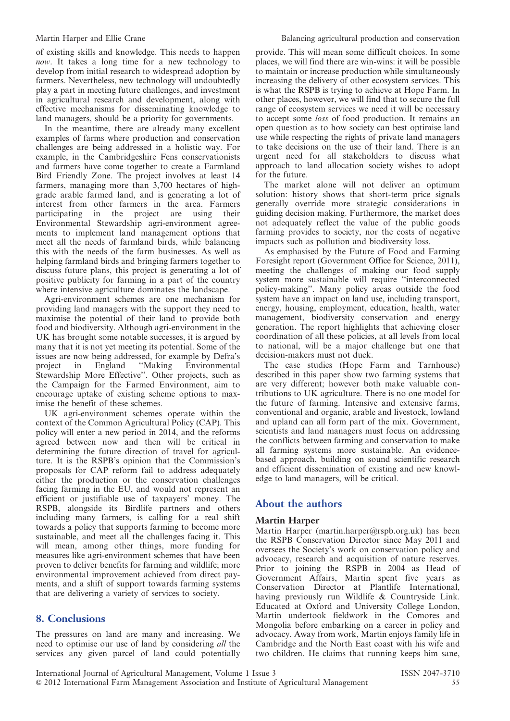of existing skills and knowledge. This needs to happen now. It takes a long time for a new technology to develop from initial research to widespread adoption by farmers. Nevertheless, new technology will undoubtedly play a part in meeting future challenges, and investment in agricultural research and development, along with effective mechanisms for disseminating knowledge to land managers, should be a priority for governments.

In the meantime, there are already many excellent examples of farms where production and conservation challenges are being addressed in a holistic way. For example, in the Cambridgeshire Fens conservationists and farmers have come together to create a Farmland Bird Friendly Zone. The project involves at least 14 farmers, managing more than 3,700 hectares of highgrade arable farmed land, and is generating a lot of interest from other farmers in the area. Farmers participating in the project are using their Environmental Stewardship agri-environment agreements to implement land management options that meet all the needs of farmland birds, while balancing this with the needs of the farm businesses. As well as helping farmland birds and bringing farmers together to discuss future plans, this project is generating a lot of positive publicity for farming in a part of the country where intensive agriculture dominates the landscape.

Agri-environment schemes are one mechanism for providing land managers with the support they need to maximise the potential of their land to provide both food and biodiversity. Although agri-environment in the UK has brought some notable successes, it is argued by many that it is not yet meeting its potential. Some of the issues are now being addressed, for example by Defra's project in England "Making Environmental in England "Making Environmental Stewardship More Effective''. Other projects, such as the Campaign for the Farmed Environment, aim to encourage uptake of existing scheme options to maximise the benefit of these schemes.

UK agri-environment schemes operate within the context of the Common Agricultural Policy (CAP). This policy will enter a new period in 2014, and the reforms agreed between now and then will be critical in determining the future direction of travel for agriculture. It is the RSPB's opinion that the Commission's proposals for CAP reform fail to address adequately either the production or the conservation challenges facing farming in the EU, and would not represent an efficient or justifiable use of taxpayers' money. The RSPB, alongside its Birdlife partners and others including many farmers, is calling for a real shift towards a policy that supports farming to become more sustainable, and meet all the challenges facing it. This will mean, among other things, more funding for measures like agri-environment schemes that have been proven to deliver benefits for farming and wildlife; more environmental improvement achieved from direct payments, and a shift of support towards farming systems that are delivering a variety of services to society.

#### 8. Conclusions

The pressures on land are many and increasing. We need to optimise our use of land by considering all the services any given parcel of land could potentially provide. This will mean some difficult choices. In some places, we will find there are win-wins: it will be possible to maintain or increase production while simultaneously increasing the delivery of other ecosystem services. This is what the RSPB is trying to achieve at Hope Farm. In other places, however, we will find that to secure the full range of ecosystem services we need it will be necessary to accept some loss of food production. It remains an open question as to how society can best optimise land use while respecting the rights of private land managers to take decisions on the use of their land. There is an urgent need for all stakeholders to discuss what approach to land allocation society wishes to adopt for the future.

The market alone will not deliver an optimum solution: history shows that short-term price signals generally override more strategic considerations in guiding decision making. Furthermore, the market does not adequately reflect the value of the public goods farming provides to society, nor the costs of negative impacts such as pollution and biodiversity loss.

As emphasised by the Future of Food and Farming Foresight report (Government Office for Science, 2011), meeting the challenges of making our food supply system more sustainable will require ''interconnected policy-making''. Many policy areas outside the food system have an impact on land use, including transport, energy, housing, employment, education, health, water management, biodiversity conservation and energy generation. The report highlights that achieving closer coordination of all these policies, at all levels from local to national, will be a major challenge but one that decision-makers must not duck.

The case studies (Hope Farm and Tarnhouse) described in this paper show two farming systems that are very different; however both make valuable contributions to UK agriculture. There is no one model for the future of farming. Intensive and extensive farms, conventional and organic, arable and livestock, lowland and upland can all form part of the mix. Government, scientists and land managers must focus on addressing the conflicts between farming and conservation to make all farming systems more sustainable. An evidencebased approach, building on sound scientific research and efficient dissemination of existing and new knowledge to land managers, will be critical.

#### About the authors

#### Martin Harper

Martin Harper (martin.harper@rspb.org.uk) has been the RSPB Conservation Director since May 2011 and oversees the Society's work on conservation policy and advocacy, research and acquisition of nature reserves. Prior to joining the RSPB in 2004 as Head of Government Affairs, Martin spent five years as Conservation Director at Plantlife International, having previously run Wildlife & Countryside Link. Educated at Oxford and University College London, Martin undertook fieldwork in the Comores and Mongolia before embarking on a career in policy and advocacy. Away from work, Martin enjoys family life in Cambridge and the North East coast with his wife and two children. He claims that running keeps him sane,